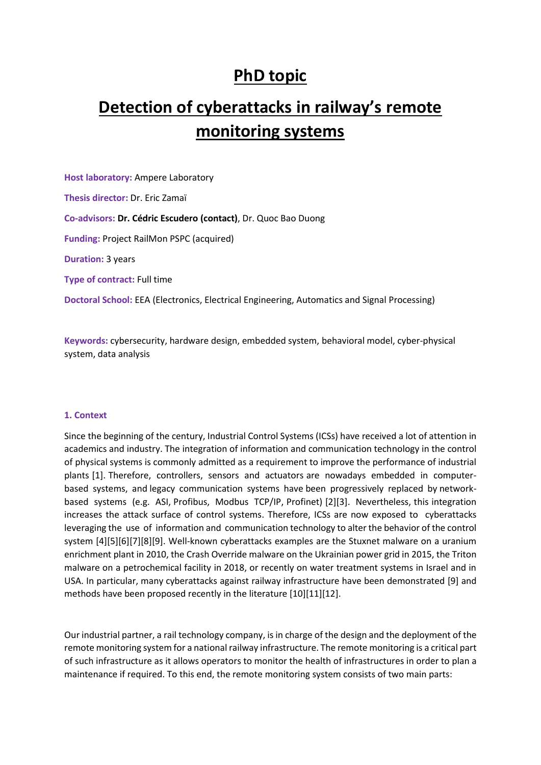# **PhD topic**

# **Detection of cyberattacks in railway's remote monitoring systems**

**Host laboratory:** Ampere Laboratory **Thesis director:** Dr. Eric Zamaï **Co-advisors: Dr. Cédric Escudero (contact)**, Dr. Quoc Bao Duong **Funding:** Project RailMon PSPC (acquired) **Duration:** 3 years **Type of contract:** Full time **Doctoral School:** EEA (Electronics, Electrical Engineering, Automatics and Signal Processing)

**Keywords:** cybersecurity, hardware design, embedded system, behavioral model, cyber-physical system, data analysis

#### **1. Context**

Since the beginning of the century, Industrial Control Systems (ICSs) have received a lot of attention in academics and industry. The integration of information and communication technology in the control of physical systems is commonly admitted as a requirement to improve the performance of industrial plants [1]. Therefore, controllers, sensors and actuators are nowadays embedded in computerbased systems, and legacy communication systems have been progressively replaced by networkbased systems (e.g. ASI, Profibus, Modbus TCP/IP, Profinet) [2][3]. Nevertheless, this integration increases the attack surface of control systems. Therefore, ICSs are now exposed to cyberattacks leveraging the use of information and communication technology to alter the behavior of the control system [4][5][6][7][8][9]. Well-known cyberattacks examples are the Stuxnet malware on a uranium enrichment plant in 2010, the Crash Override malware on the Ukrainian power grid in 2015, the Triton malware on a petrochemical facility in 2018, or recently on water treatment systems in Israel and in USA. In particular, many cyberattacks against railway infrastructure have been demonstrated [9] and methods have been proposed recently in the literature [10][11][12].

Our industrial partner, a rail technology company, is in charge of the design and the deployment of the remote monitoring system for a national railway infrastructure. The remote monitoring is a critical part of such infrastructure as it allows operators to monitor the health of infrastructures in order to plan a maintenance if required. To this end, the remote monitoring system consists of two main parts: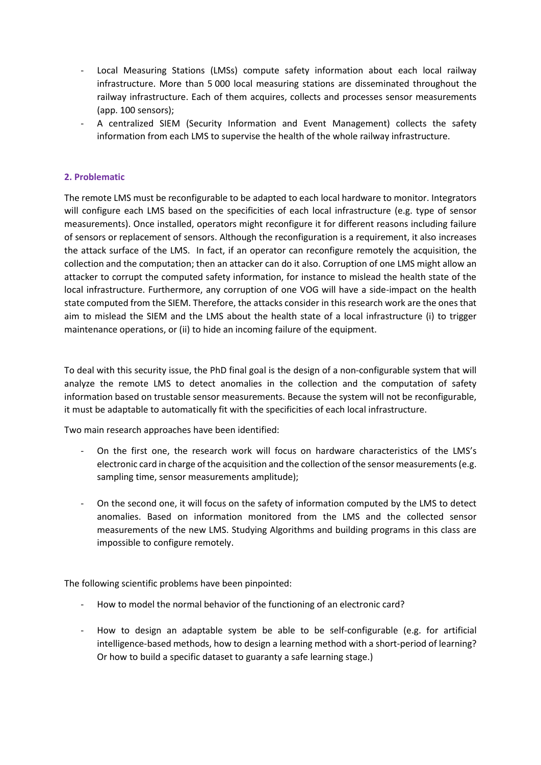- Local Measuring Stations (LMSs) compute safety information about each local railway infrastructure. More than 5 000 local measuring stations are disseminated throughout the railway infrastructure. Each of them acquires, collects and processes sensor measurements (app. 100 sensors);
- A centralized SIEM (Security Information and Event Management) collects the safety information from each LMS to supervise the health of the whole railway infrastructure.

## **2. Problematic**

The remote LMS must be reconfigurable to be adapted to each local hardware to monitor. Integrators will configure each LMS based on the specificities of each local infrastructure (e.g. type of sensor measurements). Once installed, operators might reconfigure it for different reasons including failure of sensors or replacement of sensors. Although the reconfiguration is a requirement, it also increases the attack surface of the LMS. In fact, if an operator can reconfigure remotely the acquisition, the collection and the computation; then an attacker can do it also. Corruption of one LMS might allow an attacker to corrupt the computed safety information, for instance to mislead the health state of the local infrastructure. Furthermore, any corruption of one VOG will have a side-impact on the health state computed from the SIEM. Therefore, the attacks consider in this research work are the ones that aim to mislead the SIEM and the LMS about the health state of a local infrastructure (i) to trigger maintenance operations, or (ii) to hide an incoming failure of the equipment.

To deal with this security issue, the PhD final goal is the design of a non-configurable system that will analyze the remote LMS to detect anomalies in the collection and the computation of safety information based on trustable sensor measurements. Because the system will not be reconfigurable, it must be adaptable to automatically fit with the specificities of each local infrastructure.

Two main research approaches have been identified:

- On the first one, the research work will focus on hardware characteristics of the LMS's electronic card in charge of the acquisition and the collection of the sensor measurements (e.g. sampling time, sensor measurements amplitude);
- On the second one, it will focus on the safety of information computed by the LMS to detect anomalies. Based on information monitored from the LMS and the collected sensor measurements of the new LMS. Studying Algorithms and building programs in this class are impossible to configure remotely.

The following scientific problems have been pinpointed:

- How to model the normal behavior of the functioning of an electronic card?
- How to design an adaptable system be able to be self-configurable (e.g. for artificial intelligence-based methods, how to design a learning method with a short-period of learning? Or how to build a specific dataset to guaranty a safe learning stage.)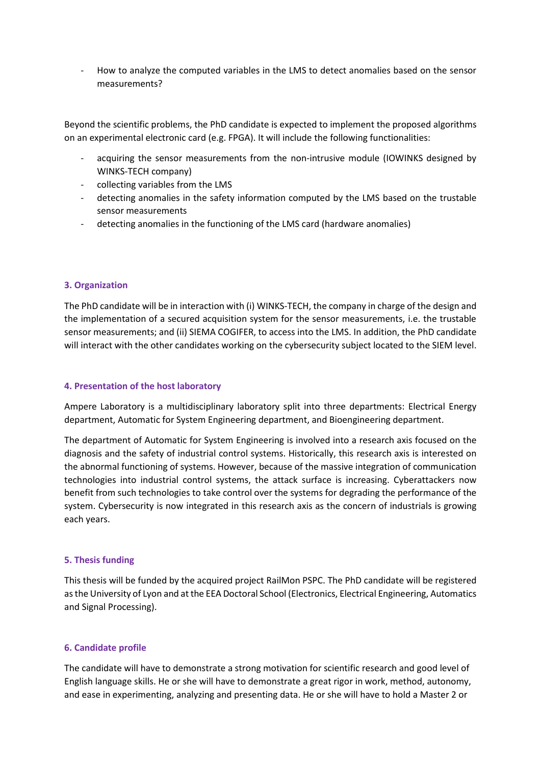- How to analyze the computed variables in the LMS to detect anomalies based on the sensor measurements?

Beyond the scientific problems, the PhD candidate is expected to implement the proposed algorithms on an experimental electronic card (e.g. FPGA). It will include the following functionalities:

- acquiring the sensor measurements from the non-intrusive module (IOWINKS designed by WINKS-TECH company)
- collecting variables from the LMS
- detecting anomalies in the safety information computed by the LMS based on the trustable sensor measurements
- detecting anomalies in the functioning of the LMS card (hardware anomalies)

## **3. Organization**

The PhD candidate will be in interaction with (i) WINKS-TECH, the company in charge of the design and the implementation of a secured acquisition system for the sensor measurements, i.e. the trustable sensor measurements; and (ii) SIEMA COGIFER, to access into the LMS. In addition, the PhD candidate will interact with the other candidates working on the cybersecurity subject located to the SIEM level.

#### **4. Presentation of the host laboratory**

Ampere Laboratory is a multidisciplinary laboratory split into three departments: Electrical Energy department, Automatic for System Engineering department, and Bioengineering department.

The department of Automatic for System Engineering is involved into a research axis focused on the diagnosis and the safety of industrial control systems. Historically, this research axis is interested on the abnormal functioning of systems. However, because of the massive integration of communication technologies into industrial control systems, the attack surface is increasing. Cyberattackers now benefit from such technologies to take control over the systems for degrading the performance of the system. Cybersecurity is now integrated in this research axis as the concern of industrials is growing each years.

#### **5. Thesis funding**

This thesis will be funded by the acquired project RailMon PSPC. The PhD candidate will be registered as the University of Lyon and at the EEA Doctoral School (Electronics, Electrical Engineering, Automatics and Signal Processing).

#### **6. Candidate profile**

The candidate will have to demonstrate a strong motivation for scientific research and good level of English language skills. He or she will have to demonstrate a great rigor in work, method, autonomy, and ease in experimenting, analyzing and presenting data. He or she will have to hold a Master 2 or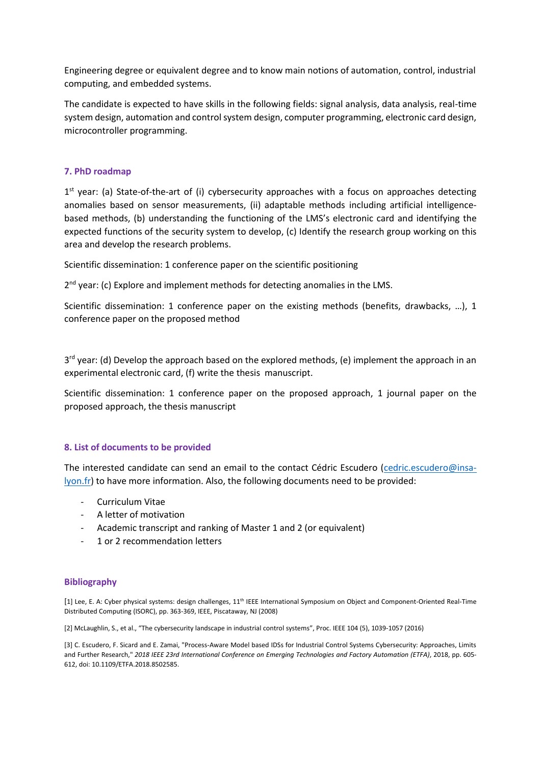Engineering degree or equivalent degree and to know main notions of automation, control, industrial computing, and embedded systems.

The candidate is expected to have skills in the following fields: signal analysis, data analysis, real-time system design, automation and control system design, computer programming, electronic card design, microcontroller programming.

#### **7. PhD roadmap**

1<sup>st</sup> year: (a) State-of-the-art of (i) cybersecurity approaches with a focus on approaches detecting anomalies based on sensor measurements, (ii) adaptable methods including artificial intelligencebased methods, (b) understanding the functioning of the LMS's electronic card and identifying the expected functions of the security system to develop, (c) Identify the research group working on this area and develop the research problems.

Scientific dissemination: 1 conference paper on the scientific positioning

2<sup>nd</sup> year: (c) Explore and implement methods for detecting anomalies in the LMS.

Scientific dissemination: 1 conference paper on the existing methods (benefits, drawbacks, …), 1 conference paper on the proposed method

3<sup>rd</sup> year: (d) Develop the approach based on the explored methods, (e) implement the approach in an experimental electronic card, (f) write the thesis manuscript.

Scientific dissemination: 1 conference paper on the proposed approach, 1 journal paper on the proposed approach, the thesis manuscript

#### **8. List of documents to be provided**

The interested candidate can send an email to the contact Cédric Escudero [\(cedric.escudero@insa](mailto:cedric.escudero@insa-lyon.fr)[lyon.fr\)](mailto:cedric.escudero@insa-lyon.fr) to have more information. Also, the following documents need to be provided:

- Curriculum Vitae
- A letter of motivation
- Academic transcript and ranking of Master 1 and 2 (or equivalent)
- 1 or 2 recommendation letters

#### **Bibliography**

[1] Lee, E. A: Cyber physical systems: design challenges, 11th IEEE International Symposium on Object and Component-Oriented Real-Time Distributed Computing (ISORC), pp. 363-369, IEEE, Piscataway, NJ (2008)

[2] McLaughlin, S., et al., "The cybersecurity landscape in industrial control systems", Proc. IEEE 104 (5), 1039-1057 (2016)

[3] C. Escudero, F. Sicard and E. Zamai, "Process-Aware Model based IDSs for Industrial Control Systems Cybersecurity: Approaches, Limits and Further Research," *2018 IEEE 23rd International Conference on Emerging Technologies and Factory Automation (ETFA)*, 2018, pp. 605- 612, doi: 10.1109/ETFA.2018.8502585.